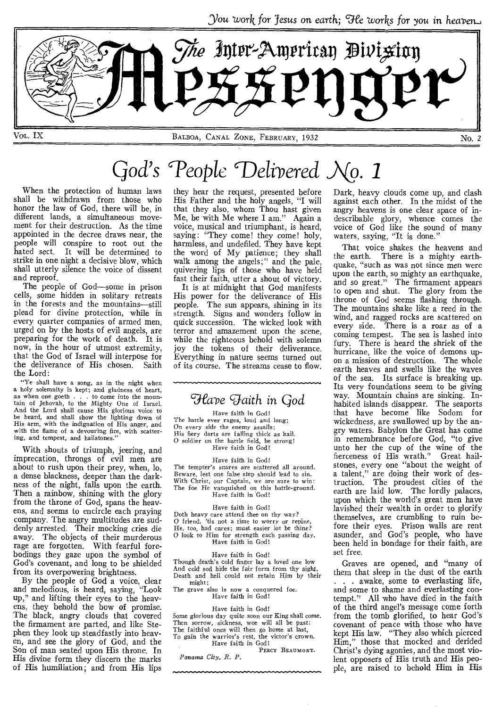You work for Jesus on earth; We works for you in *heaven\_* 



# God's People Delivered  $\mathcal{N}$ o. 1

When the protection of human laws shall be withdrawn from those who honor the law of God, there will be, in different lands, a simultaneous movement for their destruction. As the time appointed in the decree draws near, the people will conspire to root out the hated sect. It will be determined to strike in one night a decisive blow, which shall utterly silence the voice of dissent and reproof.

The people of God—some in prison cells, some hidden in solitary retreats in the forests and the mountains—still plead for divine protection, while in every quarter companies of armed men, urged on by the hosts of evil angels, are preparing for the work of death. It is now, in the hour of utmost extremity, that the God of Israel will interpose for the deliverance of His chosen. Saith the Lord:

"Ye shall have a song, as in the night when a holy solemnity is kept; and gladness of heart, as when one goeth . . . to come into the mountain of Jehovah, to the Mighty One of Israel. And the Lord shall cause His glorious voice to be heard, and shall show the lighting down of His arm, with the indignation of His anger, and with the flame of a devouring fire, with scattering, and tempest, and hailstones."

With shouts of triumph, jeering, and imprecation, throngs of evil men are about to rush upon their prey, when, lo, a dense blackness, deeper than the darkness of the night, falls upon the earth. Then a rainbow, shining with the glory from the throne of God, spans the heavens, and seems to encircle each praying company. The angry multitudes are suddenly arrested. Their mocking cries die away. The objects of their murderous rage are forgotten. With fearful forebodings they gaze upon the symbol of God's covenant, and long to be shielded from its overpowering brightness.

By the people of God a voice, clear and melodious, is heard, saying, "Look up," and lifting their eyes to the heavens, they behold the bow of promise. The black, angry clouds that covered the firmament are parted, and like Stephen they look up steadfastly into heaven, and see the glory of God, and the Son of man seated upon His throne. In His divine form they discern the marks of His humiliation; and from His lips

they hear the request, presented before His Father and the holy angels, "I will that they also, whom Thou hast given Me, be with Me where I am." Again a voice, musical and triumphant, is heard, saying: "They come! they come! holy, harmless, and undefiled. They have kept the word of My patience; they shall walk among the angels;" and the pale, quivering lips of those who have held fast their faith, utter a shout of victory.

It is at midnight that God manifests His power for the deliverance of His people. The sun appears, shining in its strength. Signs and wonders follow in quick succession. The wicked look with terror and amazement upon the scene, while the righteous behold with solemn joy the tokens of their deliverance. Everything in nature seems turned out of its course. The streams cease to flow.

# *wave Faith in God*

Have faith in God! The battle ever rages, loud and long; On every side the enemy assails; His fiery darts are falling thick as hail. O soldier on the battle field, be strong! Have faith in God!

Have faith in God! The tempter's snares are scattered all around. Beware, lest one false step should lead to sin. With Christ, our Captain, we are sure to win: The foe He vanquished on this battle-ground. Have faith in God!

Have faith in God! Doth heavy care attend thee on thy way? O friend, 'tis not a time to worry or repine, He, too, had cares; must easier lot be thine? O look to Him for strength each passing day. Have faith in God!

Have faith in God! Though death's cold finger lay a loved one low And cold sod hide the fair form from thy sight, Death and hell could not retain Him by their might;

The grave also is now a conquered foe. Have faith in God!

#### Have faith in God!

Some glorious day quite soon our King shall come. Then sorrow, sickness, woe will all be past: The faithful ones will then go home at last, To gain the warrior's rest, the victor's crown. Have faith in God!

PERCY BEAUMONT. *Panama City, R. P.* 

Dark, heavy clouds come up, and clash against each other. In the midst of the angry heavens is one clear space of indescribable glory, whence comes the voice of God like the sound of many waters, saying, "It is done."

That voice shakes the heavens and the earth. There is a mighty earthquake, "such as was not since men were upon the earth, so mighty an earthquake, and so great." The firmament appears to open and shut. The glory from the throne of God seems flashing through. The mountains shake like a reed in the wind, and ragged rocks are scattered on every side. There is a roar as of a coming tempest. The sea is lashed into fury. There is heard the shriek of the hurricane, like the voice of demons upon a mission of destruction. The whole earth heaves and swells like the waves of the sea. Its surface is breaking up. Its very foundations seem to be giving way. Mountain chains are sinking. Inhabited islands disappear. The seaports that have become like Sodom for wickedness, are swallowed up by the angry waters. Babylon the Great has come in remembrance before God, "to give unto her the cup of the wine of the<br>fierceness of His wrath." Great hailfierceness of His wrath." stones, every one "about the weight of a talent," are doing their work of destruction. The proudest cities of the earth are laid low. The lordly palaces, upon which the world's great men have lavished their wealth in order to glorify themselves, are crumbling to ruin before their eyes. Prison walls are rent asunder, and God's people, who have been held in bondage for their faith, are set free.

Graves are opened, and "many of them that sleep in the dust of the earth . . . awake, some to everlasting life, and some to shame and everlasting contempt." All who have died in the faith of the third angel's message come forth from the tomb glorified, to hear God's covenant of peace with those who have kept His law. "They also which pierced Him," those that mocked and derided Christ's dying agonies, and the most violent opposers of His truth and His people, are raised to behold Him in His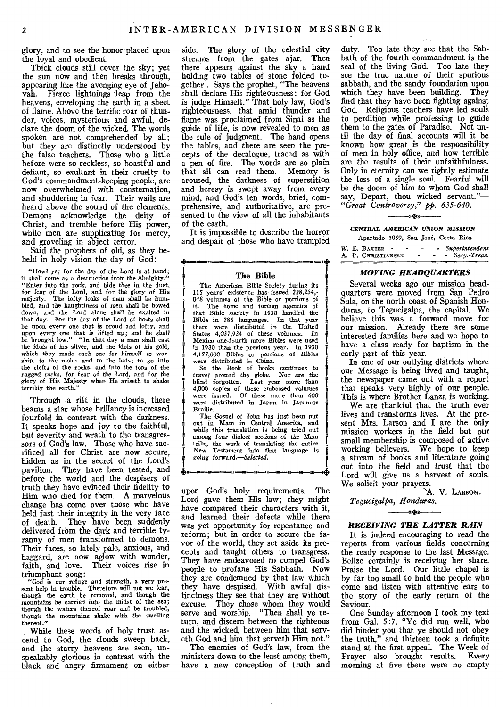glory, and to see the honor placed upon the loyal and obedient.

Thick clouds still cover the sky; yet the sun now and then breaks through, appearing like the avenging eye of Jehovah. Fierce lightnings leap from the heavens, enveloping the earth in a sheet of flame. Above the terrific roar of thunder, voices, mysterious and awful, declare the doom of the wicked. The words spoken are not comprehended by all; but they are distinctly understood by the false teachers. Those who a little before were so reckless, so boastful and defiant, so exultant in their cruelty to God's commandment-keeping people, are now overwhelmed with consternation, and shuddering in fear. Their wails are heard above the sound of the elements. Demons acknowledge the deity of Christ, and tremble before His power, while men are supplicating for mercy, and groveling in abject terror.

Said the prophets of old, as they beheld in holy vision the day of God:

"Howl ye; for the day of the Lord is at hand; it shall come as a destruction from the Almighty." "Enter into the rock, and hide thee in the dust, for fear of the Lord, and for the glory of His majesty. The lofty looks of man shall be hum-bled, and the haughtiness of men shall be bowed down, and the Lord alone shall *be* exalted in that day. For the day of the Lord of hosts shall be upon every one that is proud and lofty, and upon every one that is *lif* ted up; and he shall be brought low." "In that day a man shall cast the idols of his silver, and the idols of his gold, which they made each one for himself to worwhich they made each one for himself to ship, to the moles and to the bats; to go into the clefts of the rocks, and into the tops of the *ragged rocks,* for fear *of* the Lord, and for the glory of His Majesty when He ariseth to shake terribly the earth."

Through a rift in the clouds, there beams a star whose brillancy is increased fourfold in contrast with the darkness. It speaks hope and joy to the faithful, but severity and wrath to the transgressors of God's law. Those who have sacrificed all for Christ are now secure, hidden as in the secret of the Lord's pavilion. They have been tested, and before the world and the despisers of truth they have evinced their fidelity to Him who died for them. A marvelous change has come over those who have held fast their integrity in the very face of death. They have been suddenly delivered from the dark and terrible tyranny of men transformed to demons. Their faces, so lately pale, anxious, and haggard, are now aglow with wonder, faith, and love. Their voices rise in triumphant song:

"God *is our* refuge and strength, a very pre-sent help in trouble. Therefore will not we fear, though the earth be removed, and though the *mountains* be carried into the midst of the sea; though the waters thereof roar and be troubled, though the mountains shake with the swelling thereof."

While these words of holy trust ascend to God, the clouds sweep back, and the starry heavens are seen, unspeakably glorious in contrast with the black and angry firmament on either

side. The glory of the celestial city streams from the gates ajar. Then there appears against the sky a hand holding two tables of stone folded together . Says the prophet, "The heavens shall declare His righteousness: for God is judge Himself." That holy law, God's righteousness, that amid thunder and flame was proclaimed from Sinai as the guide of life, is now revealed to men as the rule of judgment. The hand opens the tables, and there are seen the precepts of the decalogue, traced as with a pen of fire. The words are so plain that all can read them. Memory is aroused, the darkness of superstition and heresy is swept away from every mind, and God's ten words, brief, comprehensive, and authoritative, are presented to the view of all the inhabitants of the earth.

It is impossible to describe the horror and despair of those who have trampled

#### **The Bible**

The American Bible Society during its 115 years' existence has issued *228,234,- 048* volumes of the Bible or portions of The home and foreign agencies of that Bible society in 1930 handled the Bible in 285 languages. In that year there were distributed in the United States 4,037,924 of these volumes. In Mexico one-fourth more Bibles were used in 1930 than the previous year. In 1930 4,177,000 Bibles or portions of Bibles were distributed in China.

So the Book of books continues to travel around the globe. Nor are *the*  blind forgotten. Last year more than 4,000 copies of these embossed volumes were issued. Of these more than 600 a were distributed in Japan in Japanese Braille.

The Gospel of John has just been put out in Mam in Central America, and while this translation is being tried out among four dialect sections of the Mam tribe, the work of translating the entire Testament into that language is *• going forward.—Selected.* 

upon God's holy requirements. The Lord gave them His law; they might have compared their characters with it, and learned their defects while there was yet opportunity for repentance and reform; but in order to secure the favor of the world, they set aside its precepts and taught others to transgress. They have endeavored to compel God's people to profane His Sabbath. Now they are condemned by that law which they have despised. With awful distinctness they see that they are without excuse. They chose whom they would serve and worship. "Then shall ye return, and discern between the righteous and the wicked, between him that serveth God and him that serveth Him not."

The enemies of God's law, from the ministers down to the least among them, have a new conception of truth and duty. Too late they see that the Sabbath of the fourth commandment is the seal of the living God. Too late they see the true nature of their spurious sabbath, and the sandy foundation upon which they have been building. They find that they have been fighting against God. Religious teachers have led souls to perdition while professing to guide them to the gates of Paradise. Not until the day of final accounts will it be known how great is the responsibility of men in holy office, and how terrible are the results of their unfaithfulness. Only in eternity can we rightly estimate the loss of a single soul. Fearful will be the doom of him to whom God shall say, Depart, thou wicked servant."— *"Great Controversy," pp. 635-640.* 

مناقعه

#### CENTRAL *AMERICAN* UNION MISSION Apartado 1059, San Jose, Costa Rica

|  | W. E. BAXTER -     |  | - Superintendent |
|--|--------------------|--|------------------|
|  | A. P. Christiansen |  | $-$ Secy.-Treas. |

#### *MOVING HEADQUARTERS*

Several weeks ago our mission headquarters were moved from San Pedro Sula, on the north coast of Spanish Honduras, to Tegucigalpa, the capital. We believe this was a forward move for our mission. Already there are some interested families here and we hope to have a class ready for baptism in the early part of this year.

In one of our outlying districts where our Message is being lived and taught, the newspaper came out with a report that speaks very highly of our people. This is where Brother Lanza is working.

We are thankful that the truth ever lives and transforms lives. At the present Mrs. Larson and I are the only mission workers in the field but our small membership is composed of active working believers. We hope to keep a stream of books and literature going out into the field and trust that the Lord will give us a harvest of souls. We solicit your prayers.

`A. V. LARSON.

### *Tegucigalpa, Honduras.*  —≪‡≫—

#### *RECEIVING THE LATTER RAIN*

It is indeed encouraging to read the reports from various fields concerning the ready response to the last Message. Belize certainly is receiving her share. Praise the Lord. Our little chapel is by far too small to hold the people who come and listen with attentive ears to the story of the early return of the Saviour.

One Sunday afternoon I took my text from Gal. 5:7, "Ye did run well, who did hinder you that ye should not obey the truth," and thirteen took a definite stand at the first appeal. The Week of<br>Praver also brought results. Every Prayer also brought results. morning at five there were no empty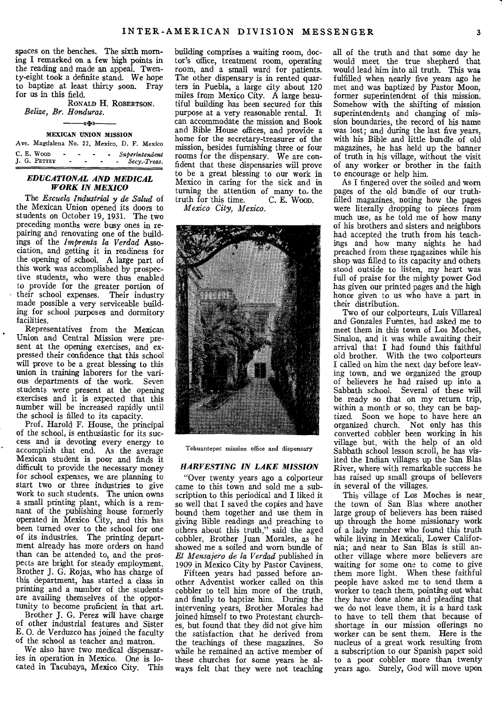spaces on the benches. The sixth morning I remarked on a few high points in the reading and made an appeal. Twenty-eight took a definite stand. We hope to baptize at least thirty soon. Pray for us in this field.

RONALD **H.** ROBERTSON. *Belize, Br. Honduras.* 

### -«\*\*» MEXICAN UNION MISSION

| Ave. Magdalena No. 22, Mexico, D. F. Mexico |  |                     |                                    |
|---------------------------------------------|--|---------------------|------------------------------------|
| C. E. Woop<br>$\bullet$<br>J. G. PETTEY     |  | $\blacksquare$<br>- | - Superintendent<br>- Secy.-Treas. |

#### *EDUCATIONAL AND MEDICAL WORK IN MEXICO*

The *Escuela Industrial y de Salud* of the Mexican Union opened its doors to students on October 19, 1931. The two preceding months were busy ones in repairing and renovating one of the buildings of the *linprenta la Verdad* Association, and getting it in readiness for the opening of school. A large part of this work was accomplished by prospective students, who were thus enabled to provide for the greater portion of their school expenses. Their industry made possible a very serviceable building for school purposes and dormitory facilities.

Representatives from the Mexican Union and Central Mission were present at the opening exercises, and expressed their confidence that this school will prove to be a great blessing to this union in training laborers for the various departments of the work. Seven students were present at the opening exercises and it is expected that this number will be increased rapidly until the school is filled to its capacity.

Prof. Harold F. House, the principal of the school, is enthusiastic for its success and is devoting every energy to accomplish that end. As the average Mexican student is poor and finds it difficult to provide the necessary money for school expenses, we are planning to start two or three industries to give work to such students. The union owns a small printing plant, which is a remnant of the publishing house formerly operated in Mexico City, and this has been turned over to the school for one of its industries. The printing department already has more orders on hand than can be attended to, and the prospects are bright for steady employment. Brother J. G. Rojas, who has charge of this department, has started a class in printing and a number of the students are availing themselves of the opportunity to become proficient in that art.

Brother J. G. Perez will have charge of other industrial features and Sister E. **0.** de Verduzco has joined the faculty of the school as teacher and matron.

We also have two medical dispensaries in operation in Mexico. One is located in Tacubaya, Mexico City. This building comprises a waiting room, doctor's office, treatment room, operating room, and a small ward for patients. The other dispensary is in rented quarters in Puebla, a large city about 120 miles from Mexico City. A large beautiful building has been secured for this purpose at a very reasonable rental. It can accommodate the mission and Book and Bible House offices, and provide a home for the secretary-treasurer of the mission, besides furnishing three or four rooms for the dispensary. We are confident that these dispensaries will prove to be a great blessing to our work in Mexico in caring for the sick and in turning the attention of many to the truth for this time. C. E. Woon. truth for this time.

*Mexico City, Mexico.* 



Tehuantepec mission office and dispensary

#### *HARVESTING IN LAKE MISSION*

"Over twenty years ago a colporteur came to this town and sold me a subscription to this periodical and I liked it so well that I saved the copies and have bound them together and use them in giving Bible readings and preaching to others about this truth," said the aged cobbler, Brother Juan Morales, as he showed me a soiled and worn bundle of *El Mensajero de la Verdad* published in 1909 in Mexico City by Pastor Caviness.

Fifteen years had passed before another Adventist worker called on this cobbler to tell him more of the truth, and finally to baptize him. During the intervening years, Brother Morales had joined himself to two Protestant churches, but found that they did not give him the satisfaction that he derived from the teachings of these magazines. So while he remained an active member of these churches for some years he always felt that they were not teaching

all of the truth and that some day he would meet the true shepherd that would lead him into all truth. This was fulfilled when nearly five years ago he met and was baptized by Pastor Moon, former superintendent of this mission. Somehow with the shifting of mission superintendents and changing of mission boundaries, the record of his name was lost; and during the last five years, with his Bible and little bundle of old magazines, he has held up the banner of truth in his village, without the visit of any worker or brother in the faith to encourage or help him.

As I fingered over the soiled and worn pages of the old bundle of our truthfilled magazines, noting how the pages were literally dropping to pieces from much use, as he told me of how many of his brothers and sisters and neighbors had accepted the truth from his teachings and how many nights he had preached from these magazines while his shop was filled to its capacity and others stood outside to listen, my heart was full of praise for the mighty power God has given our printed pages and the high honor given to us who have a part in their distribution.

Two of our colporteurs, Luis Villareal and Gonzales Fuentes, had asked me to meet them in this town of Los Moches, Sinaloa, and it was while awaiting their arrival that I had found this faithful old brother. With the two colporteurs I called on him the next day before leaving town, and we organized the group of believers he had raised up into a Sabbath school. Several of these will be ready so that on my return trip, within a month or so, they can be baptized. Soon we hope to have here an organized church. Not only has this converted cobbler been working in his village but, with the help of an old Sabbath school lesson scroll, he has visited the Indian villages up the San Blas River, where with remarkable success he has raised up small groups of believers in several of the villages.

This village of Los Moches is near. the town of San Blas where another large group of believers has been raised up through the home missionary work of a lady member who found this truth while living in Mexicali, Lower California; and near to San Blas is still another village where more believers are waiting for some one to come to give them more light. When these faithful people have asked me to send them a worker to teach them, pointing out what they have done alone and pleading that we do not leave them, it is a hard task to have to tell them that because **of**  shortage in our mission offerings no worker can be sent them. Here is the nucleus of a great work resulting from a subscription to our Spanish paper sold to a poor cobbler more than twenty years ago. Surely, God will move upon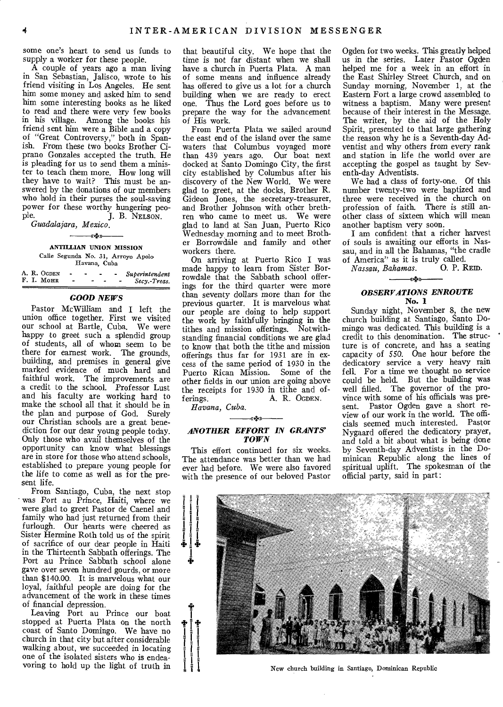some one's heart to send us funds to supply a worker for these people.

A couple of years ago a man living in San Sebastian, Jalisco, wrote to his friend visiting in Los Angeles. He sent him some money and asked him to send him some interesting books as he liked to read and there were very few books in his village. Among the books his friend sent him were a Bible and a copy of "Great Controversy," both in Spanish. From these two books Brother Ciprano Gonzales accepted the truth. He is pleading for us to send them a minister to teach them more. How long will they have to wait? This must be answered by the donations of our members who hold in their purses the soul-saving power for these worthy hungering peo-<br>ple. T. B. NELSON. J. B. NELSON.

*Guadalajara, Mexico.* 

# *q.t.»*

ANTILLIAN UNION MISSION Calle Segunda No. 31, Arroyo Apolo Havana, Cuba

|  | A. R. OGDEN |  |  | Superintendent |
|--|-------------|--|--|----------------|
|  | F. I. MOHR  |  |  | Secy.-Treas.   |

# *GOOD NEWS*

Pastor McWilliam and I left the union office together. First we visited our school at Bartle, Cuba. We were happy to greet such a splendid group of students, all of whom seem to be there for earnest work. The grounds, building, and premises in general give marked evidence of much hard and faithful work. The improvements are a credit to the school. Professor Lust and his faculty are working hard to make the school all that it should be in the plan and purpose of God. Surely our Christian schools are a great benediction for our dear young people today. Only those who avail themselves of the opportunity can know what blessings are in store for those who attend schools, established to prepare young people for the life to come as well as for the present life.

From Santiago, Cuba, the next stop was Port au Prince, Haiti, where we were glad to greet Pastor de Caenel and family who had just returned from their furlough. Our hearts were cheered as Sister Hermine Roth told us of the spirit of sacrifice of our dear people in Haiti in the Thirteenth Sabbath offerings. The Port au Prince Sabbath school alone gave over seven hundred gourds, or more than \$140.00. It is marvelous what our loyal, faithful people are doing for the advancement of the work in these times of financial depression.

Leaving Port au Prince our boat stopped at Puerta Plata on the north coast of Santo Domingo. We have no church in that city but after considerable walking about, we succeeded in locating one of the isolated sisters who is endeavoring to hold up the light of truth in

that beautiful city. We hope that the time is not far distant when we shall have a church in Puerta Plata. A man of some means and influence already has offered to give us a lot for a church building when we are ready to erect one. Thus the Lord goes before us to prepare the way for the advancement of His work.

From Puerta Plata we sailed around the east end of the island over the same waters that Columbus voyaged more than 439 years ago. Our boat next docked at Santo Domingo City, the first city established by Columbus after his discovery of the New World. We were glad to greet, at the docks, Brother R. Gideon Jones, the secretary-treasurer, and Brother Johnson with other brethren who came to meet us. We were glad to land at San Juan, Puerto Rico Wednesday morning and to meet Brother Borrowdale and family and other workers there.

On arriving at Puerto Rico I was made happy to learn from Sister Borrowdale that the Sabbath school offerings for the third quarter were more than seventy dollars more than for the previous quarter. It is marvelous what our people are doing to help support the work by faithfully bringing in the tithes and mission offerings. Notwithstanding financial conditions we are glad to know that both the tithe and mission offerings thus far for 1931 are in excess of the same period of 1930 in the Puerto Rican Mission. Some of the other fields in our union are going above the receipts for 1930 in tithe and of-<br>ferings. A. R. OGDEN. A. R. OGDEN.

*Havana, Cuba.* 

### *----or» ANOTHER EFFORT IN GRANTS' TOWN*

This effort continued for six weeks. The attendance was better than we had ever had before. We were also favored with the presence of our beloved Pastor

Ogden for two weeks. This greatly helped us in the series. Later Pastor Ogden helped me for a week in an effort in the East Shirley Street Church, and on Sunday morning, November 1, at the Eastern Fort a large crowd assembled to witness a baptism. Many were present because of their interest in the Message. The writer, by the aid of the Holy Spirit, presented to that large gathering the reason why he is a Seventh-day Adventist and why others from every rank and station in life the world over are accepting the gospel as taught by Seventh-day Adventists.

We had a class of forty-one. Of this number twenty-two were baptized and three were received in the church on profession of faith. There is still another class of sixteen which will mean another baptism very soon.

I am confident that a richer harvest of souls is awaiting our efforts in Nassau, and in all the Bahamas, "the cradle of America" as it is truly called.

*Nassau, Bahamas.* 0. P. REID. –«∗⊱»

# *OBSERVATIONS ENROUTE*  No. 1

Sunday night, November 8, the new church building at Santiago, Santo Domingo was dedicated. This building is a credit to this denomination. The structure is of concrete, and has a seating capacity of 550. One hour before the dedicatory service a very heavy rain fell. For a time we thought no service could be held. But the building was well filled. The governor of the province with some of his officials was present. Pastor Ogden gave a short review of our work in the world. The officials seemed much interested. Pastor Nygaard offered the dedicatory prayer, and told a bit about what is being done by Seventh-day Adventists in the Dominican Republic along the lines of spiritual uplift. The spokesman of the official party, said in part:



New church building in Santiago, Dominican Republic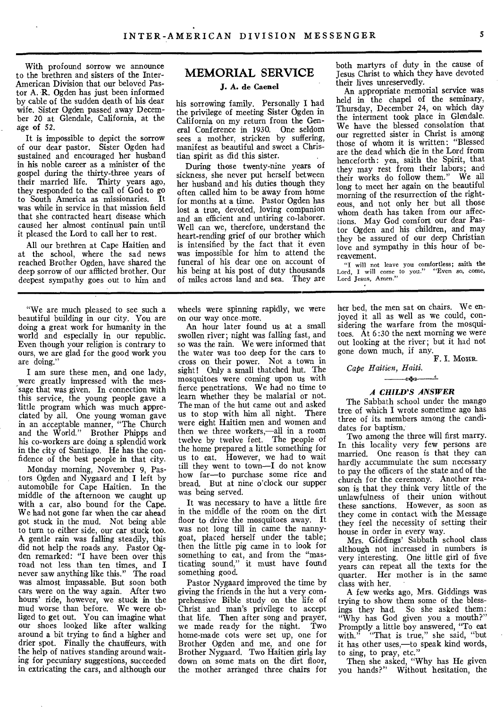With profound sorrow we announce to the brethren and sisters of the Inter-American Division that our beloved Pastor A. R. Ogden has just been informed by cable of the sudden death of his dear wife. Sister Ogden passed away December 20 at Glendale, California, at the age of 52.

It is impossible to depict the sorrow of our dear pastor. Sister Ogden had sustained and encouraged her husband in his noble career as a minister, of the gospel during the thirty-three years of their married life. Thirty years ago, they responded to the call of God to go to South America as missionaries. It was while in service in that mission field that she contracted heart disease which caused her almost continual pain until it pleased the Lord to call her to rest.

All our brethren at Cape Haitien and at the school, where the sad news reached Brother Ogden, have shared the deep sorrow of our afflicted brother. Our deepest sympathy goes out to him and

"We are much pleased to see such a beautiful building in our city. You are doing a great work for humanity in the world and especially in our republic. Even though your religion is contrary to ours, we are glad for the good work you are doing."

I am sure these men, and one lady, were greatly impressed with the message that was given. In connection with this service, the young people gave a little program which was much appreciated by all. One young woman gave in an acceptable manner, "The Church and the World." Brother Phipps and his co-workers are doing a splendid work in the city of Santiago. He has the confidence of the best people in that city.

Monday morning, November 9, Pastors Ogden and Nygaard and I left by automobile for Cape Haitien. In the middle of the afternoon we caught up with a car, also bound for the Cape. We had not gone far when the car ahead got stuck in the mud. Not being able to turn to either side, our car stuck too. A gentle rain was falling steadily, this did not help the roads any. Pastor Ogden remarked: "I have been over this road not less than ten times, and I never saw anything like this." The road was almost impassable. But soon both cars were on the way again. After two hours' ride, however, we stuck in the mud worse than before. We were obliged to get out. You can imagine what our shoes looked like after walking around a bit trying to find a higher and drier spot. Finally the chauffeurs, with the help of natives standing around waiting for pecuniary suggestions, succeeded in extricating the cars, and although our

# **MEMORIAL SERVICE**

### **J.** A. **de Caenel**

his sorrowing family. Personally I had the privilege of meeting Sister Ogden in California on my return from the General Conference in 1930. One seldom sees a mother, stricken by suffering, manifest as beautiful and sweet a Christian spirit as did this sister.

During those twenty-nine years of sickness, she never put herself between her husband and his duties though they often called him to be away from home for months at a time. Pastor Ogden has lost a true, devoted, loving companion and an efficient and untiring co-laborer. Well can we, therefore, understand the heart-rending grief of our brother which is intensified by the fact that it even was impossible for him to attend the funeral of his dear one on account of his being at his post of duty thousands of miles across land and sea. They are

wheels were spinning rapidly, we were on our way once more.

An hour later found us at a small swollen river; night was falling fast, and so was the rain. We were informed that the water was too deep for the cars to cross on their power. Not a town in sight! Only a small thatched hut. The mosquitoes were coming upon us with fierce penetrations. We had no time to learn whether they be malarial or not. The man of the hut came out and asked us to stop with him all night. There were eight Haitien men and women and then we three workers,—all in a room twelve by twelve feet. The people of the home prepared a little something for us to eat. However, we had to wait till they went to town—I do not know how far—to purchase some rice and bread. But at nine o'clock our supper was being served.

It was necessary to have a little fire in the middle of the room on the dirt floor to drive the mosquitoes away. It was not long till in came the nannygoat, placed herself under the table; then the little pig came in to look for something to eat, and from the "masticating sound," it must have found something good.

Pastor Nygaard improved the time by giving the friends in the hut a very comprehensive Bible study on the life of Christ and man's privilege to accept that life. Then after song and prayer, we made ready for the night. Two home-made cots were set up, one for Brother Ogden and me, and one for Brother Nygaard. Two Haitien girls lay down on some mats on the dirt floor, the mother arranged three chairs for

both martyrs of duty in the cause of Jesus Christ to which they have devoted their lives unreservedly.

An appropriate memorial service was held in the chapel of the seminary, Thursday, December 24, on which day the interment took place in Glendale. We have the blessed consolation that our regretted sister in Christ is among those of whom it is written: "Blessed are the dead which die in the Lord from henceforth: yea, saith the Spirit, that they may rest from their labors; and their works do follow them." We all long to meet her again on the beautiful morning of the resurrection of the righteous, and not only her but all those whom death has taken from our affections. May God comfort our dear Pastor Ogden and his children, and may they be assured of our deep Christian love and sympathy in this hour of bereavement.

"I will not leave you comfortless; saith the Lord, I will come to you." "Even so, come, Lord Jesus, Amen."

her bed, the men sat on chairs. We enjoyed it all as well as we could, considering the warfare from the mosquitoes. At 6:30 the next morning we were out looking at the river; but it had not gone down much, if any.

**F. I.** MOHR.

*Cape Haitien, Haiti.* 

——《※》——<u>-</u>

#### *A CHILD'S ANSWER*

The Sabbath school under the mango tree of which I wrote sometime ago has three of its members among the candidates for baptism.

Two among the three will first marry. In this locality very few persons are married. One reason is that they can hardly accummulate the sum necessary to pay the officers of the state and of the church for the ceremony. Another reason is that they think very little of the unlawfulness of their union without these sanctions. However, as soon as they come in contact with the Message they feel the necessity of setting their house in order in every way.

Mrs. Giddings' Sabbath school class although not increased in numbers is very interesting. One little girl of five years can repeat all the texts for the quarter. Her mother is in the same class with her.

A few weeks ago, Mrs. Giddings was trying to show them some of the blessings they had. So she asked them: "Why has God given you a mouth?" Promptly a little boy answered, "To eat with." "That is true," she said, "but it has other uses,—to speak kind words, to sing, to pray, etc."

Then she asked, "Why has He given you hands?" Without hesitation, the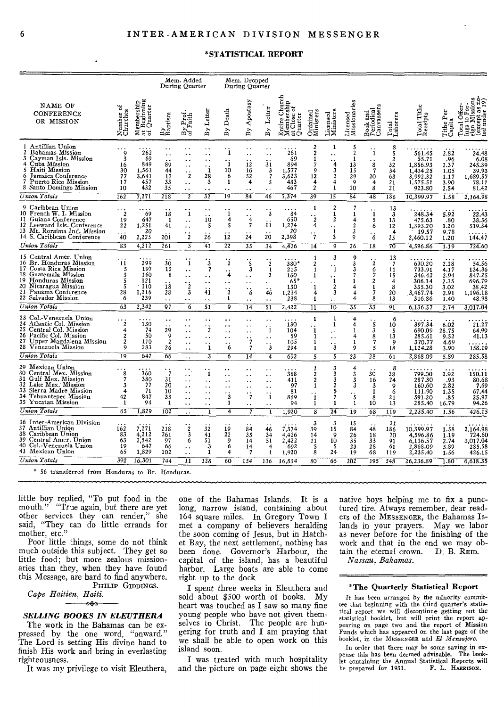#### \*STATISTICAL REPORT

|                                                                                                                                                                                                                  |                                                 |                                                  |                                                    | Mem. Added<br>During Quarter                                                                                                                   |                                                                                 |                                                                                | Mem. Dropped<br>During Quarter                                                                               |                                                                                                                     |                                                               |                                                                   |                                                                               |                                                       |                                                           |                                                        |                                                                           |                                                      |                                                                                                       |
|------------------------------------------------------------------------------------------------------------------------------------------------------------------------------------------------------------------|-------------------------------------------------|--------------------------------------------------|----------------------------------------------------|------------------------------------------------------------------------------------------------------------------------------------------------|---------------------------------------------------------------------------------|--------------------------------------------------------------------------------|--------------------------------------------------------------------------------------------------------------|---------------------------------------------------------------------------------------------------------------------|---------------------------------------------------------------|-------------------------------------------------------------------|-------------------------------------------------------------------------------|-------------------------------------------------------|-----------------------------------------------------------|--------------------------------------------------------|---------------------------------------------------------------------------|------------------------------------------------------|-------------------------------------------------------------------------------------------------------|
| NAME OF<br><b>CONFERENCE</b><br>OR MISSION                                                                                                                                                                       | ð<br>Number<br>Churches                         | Iembership<br>: Beginning<br>: Quarter<br>ತೆ ಕ"  | By<br>Baptism                                      | By Prof.<br>of Faith                                                                                                                           | By Letter                                                                       | By Death                                                                       | By Apostasy                                                                                                  | Letter<br>$\mathbf{B}$                                                                                              | Church<br>Entire Chut<br>Membership<br>at Close of<br>Quarter | Ordained<br>Ministers                                             | Licensed<br>Ministers                                                         | Licensed<br>Missionario                               | Book and<br>Periodical<br>Canvassers                      | Total<br>Laborers                                      | Total Tithe<br>Receipts                                                   | Tithe Per<br>Capita                                  | Total Offer-<br>ings to For-<br>g<br>in<br>91<br>ings to For<br>eign Missi<br>(except as<br>ted under |
| Antillian Union<br>Bahamas Mission<br>2<br>Cayman Isls. Mission<br>3<br>4 Cuba Mission<br>Haiti Mission<br>5.<br>Jamaica Conference<br>6<br>Puerto Rico Mission<br>7<br>8 Santo Domingo Mission                  | $\mathbf Q$<br>3<br>16<br>30<br>77<br>17<br>10  | 262<br>69<br>849<br>1,561<br>3,641<br>457<br>432 | $\ddot{\phantom{1}}$<br>89<br>44<br>17<br>33<br>35 | . .<br>$\ddot{\phantom{0}}$<br>$\ddot{\phantom{a}}$<br>٠.<br>2<br>$\ddot{\phantom{1}}$ .<br>$\cdot$ .                                          | ٠.<br>. .<br>٠.<br>1<br>28<br>3<br>$\ddot{\phantom{1}}$                         | 1<br>$\ddot{i}$<br>10<br>6<br>1<br>$\ddot{\phantom{0}}$                        | $\ddot{\phantom{0}}$<br>$\ddot{\phantom{0}}$<br>12<br>16<br>52<br>4<br>. .                                   | $\ddot{\phantom{0}}$<br>31<br>3<br>7<br>5<br>$\ddot{\phantom{a}}$                                                   | 261<br>69<br>894<br>1,577<br>3,623<br>483<br>467              | $\boldsymbol{2}$<br>2<br>1<br>7<br>q<br>12<br>4<br>$\overline{c}$ | 1<br>. .<br>4<br>3<br>$\overline{2}$<br>4<br>1                                | 5<br>$\overline{2}$<br>1<br>13<br>15<br>29<br>9<br>10 | $\mathbf{1}$<br>8<br>7<br>20<br>4<br>8                    | 8<br>5<br>$\overline{2}$<br>32<br>34<br>63<br>21<br>21 | 561.45<br>55.71<br>1,856.93<br>1,434.25<br>3.992.32<br>1,575.51<br>923.80 | 2.82<br>.96<br>2.37<br>1.05<br>1.17<br>3.90<br>2.54  | 24.48<br>6.08<br>245.39<br>39.93<br>1,689.57<br>78.11<br>81.42                                        |
| Union Totals                                                                                                                                                                                                     | 162                                             | 7,271                                            | 218                                                | $\overline{\mathbf{2}}$                                                                                                                        | $\overline{32}$                                                                 | 19                                                                             | 84                                                                                                           | 46                                                                                                                  | 7,374                                                         | 39                                                                | $\overline{15}$                                                               | 84                                                    | 48                                                        | 186                                                    | 10,399.97                                                                 | 1.58                                                 | 2.164.98                                                                                              |
| 9 Caribbean Union<br>10 French W. I. Mission<br>11 Guiana Conference<br>12<br>Leeward Isls. Conference<br>13 Mt. Roraima Ind. Mission<br>14 S. Caribbean Conference                                              | $\cdot \cdot \cdot$<br>19<br>22<br>.<br>40      | 69<br>647<br>1,251<br>20<br>2,225                | 18<br>-1<br>41<br>201                              | $\mathbf{1}$<br>$\ddot{\phantom{1}}$ .<br>$\ddot{\phantom{1}}$ .<br>$\ddot{\phantom{1}}$<br>$\overline{2}$                                     | 10<br>5<br>26                                                                   | 1<br>4<br>5<br>12                                                              | $\cdot$<br>$\ddot{\phantom{1}}$<br>$\overline{4}$<br>$\overline{7}$<br>24                                    | $\overline{3}$<br>11<br>20                                                                                          | 84<br>650<br>1,274<br>20<br>2,398                             | 1<br>$\cdot_{\dot{z}}$<br>4<br>$\ddot{\text{7}}$                  | $\boldsymbol{2}$<br>$\mathbf{1}$<br>$\overline{c}$<br>1<br>3                  | 7<br>1<br>4<br>$\overline{c}$<br>3<br>9               | $\ddot{i}$<br>5<br>6<br>6                                 | 13<br>3<br>13<br>12<br>4<br>25                         | 248.34<br>475.63<br>1,393.20<br>19.57<br>2,460.12                         | 5.92<br>.80<br>1.20<br>9.78<br>1.20                  | 22.43<br>38.36<br>519.34<br>144.47                                                                    |
| Union Totals                                                                                                                                                                                                     | 83                                              | 4,212                                            | 261                                                | $\overline{\overline{3}}$                                                                                                                      | 41                                                                              | 22                                                                             | 35                                                                                                           | 34                                                                                                                  | 4,426                                                         | 14                                                                | $\overline{9}$                                                                | 26                                                    | 18                                                        | 70                                                     | 4,596.86                                                                  | 1.19                                                 | 724.60                                                                                                |
| 15 Central Amer. Union<br>16 Br. Honduras Mission<br>17<br>Costa Rica Mission<br>Guatemala Mission<br>18<br>19<br>Honduras Mission<br>20.<br>Nicaragua Mission<br>Panama Conference<br>21<br>22 Salvador Mission | 11<br>5<br>3<br>5<br>5<br>28<br>6               | 299<br>197<br>160<br>121<br>.110<br>1,216<br>239 | 30<br>15<br>6<br>18<br>28<br>$\ddot{\phantom{a}}$  | 1<br>$\ddot{\phantom{0}}$<br>$\ddot{\phantom{a}}$<br>$\cdot_{\dot{z}}$<br>$\overline{\mathbf{3}}$<br>$\ddot{\phantom{0}}$                      | $\ddot{\textbf{3}}$<br>7<br>. .<br>٠.<br>41<br>$\ddot{\phantom{a}}$             | $\ddot{\text{2}}$<br>4<br>$\cdot_i$<br>1                                       | $\ddot{\mathbf{s}}$<br>3<br>$\ddot{\phantom{0}}$<br>$\ddot{\phantom{0}}$<br>. .<br>6<br>$\ddot{\phantom{0}}$ | $\boldsymbol{2}$<br>$\mathbf{1}$<br>$\boldsymbol{2}$<br>$\ddot{\phantom{1}}$<br>46<br>$\ddot{\phantom{1}}$          | 380*<br>215<br>160<br>$65*$<br>130<br>1,234<br>238            | 1<br>$\overline{c}$<br>1<br>1<br>1<br>4<br>1                      | 3<br>1<br>$\ddot{i}$<br>$\boldsymbol{2}$<br>3<br>$\ddot{\phantom{0}}$         | 9<br>3<br>3<br>4<br>4<br>4                            | $\overline{2}$<br>6<br>7<br>$\overline{c}$<br>1<br>7<br>8 | 13<br>$\overline{7}$<br>11<br>15<br>4<br>8<br>20<br>13 | 630.20<br>733.91<br>346.42<br>306.14<br>335.30<br>3,467.74<br>316.86      | 2.18<br>4.17<br>2.94<br>2.35<br>3.02<br>2.91<br>1.40 | 54.56<br>134.86<br>847.25<br>696.79<br>38.42<br>1,196.18<br>48.98                                     |
| Union Totals                                                                                                                                                                                                     | 63                                              | 2,342                                            | 97                                                 | 6                                                                                                                                              | 51                                                                              | 9                                                                              | 14                                                                                                           | 51                                                                                                                  | 2,422                                                         | 11                                                                | $\overline{10}$                                                               | 35                                                    | 33                                                        | 91                                                     | 6,136.57                                                                  | 2.74                                                 | 3,017.04                                                                                              |
| 23 Col.-Venezuela Union<br>24 Atlantic Col. Mission<br>Central Col. Mission<br>25.<br>26 Pacific Col. Mission<br>27 Upper Magdalena Mission<br>28 Venezuela Mission                                              | $\overline{c}$<br>$\overline{4}$<br>2<br>2<br>9 | 130<br>74<br>50<br>110<br>283                    | 29<br>9<br>$\boldsymbol{2}$<br>26                  | $\ddot{\phantom{1}}$<br>$\ddot{\phantom{1}}$<br>$\ddot{\phantom{1}}$ .<br>$\ddot{\phantom{0}}$<br>$\ddot{\phantom{a}}$<br>$\ddot{\phantom{a}}$ | ٠.<br>$\cdot$ $\cdot$<br>. .<br>$\ddot{\phantom{1}}$<br>1                       | . .<br>$\ddotsc$<br>. .<br>$\sim$<br>. .<br>6                                  | $\ddot{\phantom{1}}$<br>$\ddot{\phantom{1}}$<br>$\ddot{\phantom{a}}$<br>$\cdot$ ;                            | . .<br>1<br>. .<br>$\cdot$ ;                                                                                        | 130<br>104<br>59<br>105<br>294                                | 1<br>1<br>1<br>1<br>1                                             | 1<br>1<br>$\ddot{\phantom{1}}$<br>$\ddot{\phantom{a}}$<br>$\ddot{\mathbf{3}}$ | 4<br>4<br>1<br>4<br>1<br>9                            | $\frac{1}{3}$<br>8<br>$\overline{7}$<br>5                 | 6<br>10<br>5<br>13<br>9<br>18                          | 397.34<br>690.09<br>285.61<br>370.77<br>1,124.28                          | 6.02<br>28.75<br>9.52<br>4.69<br>3.90                | 21.27<br>64.99<br>41.13<br>158.19                                                                     |
| Union Totals                                                                                                                                                                                                     | $\overline{19}$                                 | 647                                              | 66                                                 | $\sim$ $\sim$                                                                                                                                  | $\overline{3}$                                                                  | 6                                                                              | $\overline{14}$                                                                                              | $\overline{4}$                                                                                                      | 692                                                           | $\overline{5}$                                                    | $\overline{\mathsf{s}}$                                                       | $\overline{23}$                                       | $\overline{28}$                                           | 61                                                     | 2,868.09                                                                  | 5.89                                                 | 285.58                                                                                                |
| 29 Mexican Union<br>30 Central Mex. Mission<br>31 Gulf Mex. Mission<br>Lake Mex. Mission<br>32<br>33 Sierra Madre Mission<br>34 Tehuantepec Mission<br>35 Yucatan Mission                                        | 8<br>7<br>3<br>4<br>42<br>1                     | 360<br>380<br>77<br>71<br>847<br>94              | $\cdot$ ;<br>31<br>20<br>10<br>33<br>1             | ٠.<br>$\ddot{\phantom{0}}$<br>$\ddotsc$<br>$\ddotsc$<br>$\ddot{\phantom{a}}$<br>$\ddot{\phantom{1}}$                                           | 1<br>$\ddot{\phantom{0}}$<br>$\ddot{\phantom{1}}$<br>$\ddot{\phantom{1}}$<br>٠. | $\ddot{\phantom{1}}$<br>$\ddot{\phantom{0}}$<br>$\ddot{\phantom{a}}$<br>3<br>1 | . .<br>$\ddot{\phantom{1}}$<br>. .<br>$\cdot_{\hat{7}}$<br>$\ddot{\phantom{1}}$                              | $\ddot{\phantom{1}}$<br>$\ddot{\phantom{a}}$<br>. .<br>$\ddot{\phantom{0}}$<br>$\mathbf{I}$<br>$\ddot{\phantom{1}}$ | 368<br>411<br>97<br>81<br>869<br>94                           | 1<br>$\boldsymbol{2}$<br>$\overline{2}$<br>1<br>. .<br>1<br>1     | 3<br>3<br>5<br>1                                                              | 4<br>3<br>3<br>3<br>$\cdot$ 5<br>1                    | 30<br>16<br>3<br>1<br>8<br>10                             | 8<br>38<br>24<br>9<br>6<br>21<br>13                    | 799.00<br>287.30<br>160.60<br>111.90<br>591.20<br>285.40                  | 2.92<br>.93<br>2.82<br>1.35<br>.85<br>16.79          | 150.11<br>80.68<br>7.69<br>67.44<br>25.97<br>94.26                                                    |
| Union Totals                                                                                                                                                                                                     | 65                                              | 1,829                                            | 102                                                | $\ddot{\phantom{a}}$                                                                                                                           | ī                                                                               | $\overline{4}$                                                                 | 7                                                                                                            | ī                                                                                                                   | 1,920                                                         | $\overline{\mathbf{8}}$                                           | $\overline{24}$                                                               | 19                                                    | 68                                                        | 119                                                    | 2,235.40                                                                  | 1.56                                                 | 426.15                                                                                                |
| 36 Inter-American Division<br>37 Antillian Union<br>38 Caribbean Union<br>39 Central Amer. Union<br>40 Col.-Venezuela Union<br>41 Mexican Union                                                                  | 162<br>83<br>63<br>19<br>65                     | 7,271<br>4,212<br>2,342<br>647<br>1,829          | 218<br>261<br>97<br>66<br>102                      | $\cdot_i$<br>3<br>6<br>$\ddot{\phantom{a}}$<br>$\ddot{\phantom{0}}$                                                                            | 32<br>41<br>51<br>3<br>1                                                        | 19<br>22<br>9<br>6<br>4                                                        | 84<br>35<br>14<br>14<br>$\overline{7}$                                                                       | 46<br>34<br>51<br>$\overline{4}$<br>$\mathbf{I}$                                                                    | 7,374<br>4.426<br>2.422<br>692<br>1,920                       | 3<br>39<br>14<br>11<br>5<br>8                                     | 3<br>15<br>9<br>10<br>-5<br>24                                                | 15<br>84<br>26<br>35<br>23<br>19                      | 48<br>18<br>33<br>28<br>68                                | 21<br>186<br>70<br>91<br>61<br>119                     | 10,399.97<br>4,596.86<br>6,136.57<br>2,868.09<br>2,235.40                 | 1.58<br>1.19<br>2.74<br>5.89<br>1.56                 | 2,164.98<br>724.60<br>3,017.04<br>285.58<br>426.15                                                    |
| Union Totals                                                                                                                                                                                                     | 392                                             | 16,301                                           | 744                                                | 11                                                                                                                                             | 128                                                                             | 60                                                                             | 154                                                                                                          | 136                                                                                                                 | 16,834                                                        | 80                                                                | 66                                                                            | 202                                                   | 195                                                       | 548                                                    | 26,236.89                                                                 | 1.80                                                 | 6,618.35                                                                                              |
| * 56 transferred from Honduras to Br. Honduras.                                                                                                                                                                  |                                                 |                                                  |                                                    |                                                                                                                                                |                                                                                 |                                                                                |                                                                                                              |                                                                                                                     |                                                               |                                                                   |                                                                               |                                                       |                                                           |                                                        |                                                                           |                                                      |                                                                                                       |

little boy replied, "To put food in the mouth." "True again, but there are yet other services they can render," she<br>said, "They can do little errands for<br>mother, etc."

Poor little things, some do not think much outside this subject. They get so little food; but more zealous missionaries than they, when they have found this Message, are hard to find anywhere.

PHILIP GIDDINGS. Cape Haitien, Haiti.

-≪÷≹+≫

# **SELLING BOOKS IN ELEUTHERA**

The work in the Bahamas can be expressed by the one word, "onward." The Lord is setting His divine hand to finish His work and bring in everlasting righteousness.

It was my privilege to visit Eleuthera,

one of the Bahamas Islands. It is a long, narrow island, containing about 164 square miles. In Gregory Town I met a company of believers heralding the soon coming of Jesus, but in Hatchet Bay, the next settlement, nothing has been done. Governor's Harbour, the capital of the island, has a beautiful harbor. Large boats are able to come right up to the dock.

I spent three weeks in Eleuthera and sold about \$500 worth of books. My heart was touched as I saw so many fine young people who have not given themselves to Christ. The people are hungering for truth and I am praying that we shall be able to open work on this island soon.

I was treated with much hospitality and the picture on page eight shows the native boys helping me to fix a punctured tire. Always remember, dear readers of the MESSENGER, the Bahamas Islands in your prayers. May we labor as never before for the finishing of the work and that in the end we may obtain the eternal crown. D. B. RED. Nassau, Bahamas.

#### \*The Quarterly Statistical Report

It has been arranged by the minority committee that beginning with the third quarter's statistical report we will discontinue getting out the statistical booklet, but will print the report appearing on page two and the report of Mission Funds which has appeared on the last page of the booklet, in the MESSENGER and El Mensajero.

In order that there may be some saving in expense this has been deemed advisable. The booklet containing the Annual Statistical Reports will be prepared for 1931. F. L. HARRISON.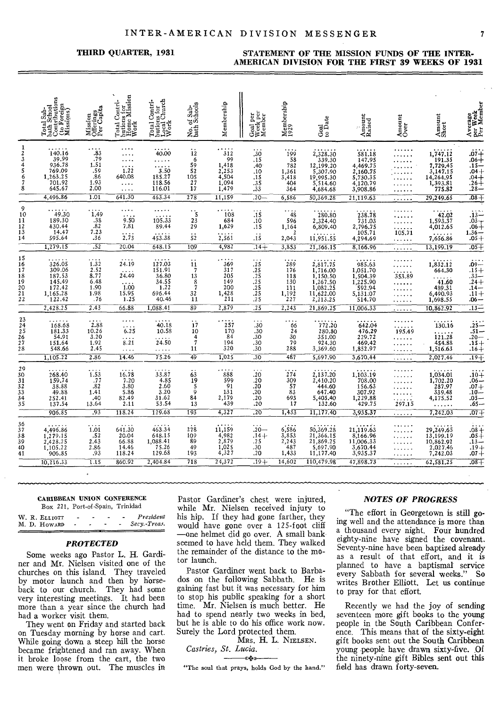#### THIRD QUARTER, 1931

#### STATEMENT OF THE MISSION FUNDS OF THE INTER-AMERICAN DIVISION FOR THE FIRST 39 WEEKS OF 1931

|                                                                                     | Total Sab-<br>bath School<br>Contributions<br>(to Foreign<br>Missions)           | Mission<br>Offerings<br>Per Capita                                                 | $\begin{array}{c} \text{Total Contri-} \\ \text{butions for} \\ \text{Home Mission} \\ \text{Work} \end{array}$ | Total Contri-<br>butions for<br>Local Church<br>Work                      | No. of Sab-<br>bath Schools                                   | Membership                                                           | Goal per<br>Week per<br>Member                                        | Membership<br>1929                                                      | Goal<br>to Date                                                                                | Amount<br>Raised                                                                        | Amount<br>Over                                                                             | Amount<br>Short                                                            | Average<br>per Week<br>Per Member                                     |
|-------------------------------------------------------------------------------------|----------------------------------------------------------------------------------|------------------------------------------------------------------------------------|-----------------------------------------------------------------------------------------------------------------|---------------------------------------------------------------------------|---------------------------------------------------------------|----------------------------------------------------------------------|-----------------------------------------------------------------------|-------------------------------------------------------------------------|------------------------------------------------------------------------------------------------|-----------------------------------------------------------------------------------------|--------------------------------------------------------------------------------------------|----------------------------------------------------------------------------|-----------------------------------------------------------------------|
| -1<br>$\boldsymbol{2}$<br>$\begin{array}{c} 3 \\ 4 \\ 5 \\ 6 \end{array}$<br>7<br>8 | 140.16<br>39.99<br>936.78<br>769.09<br>1,263.25<br>701.92<br>645.67              | $\ddots$ 83<br>.79<br>1.51<br>.59<br>.86<br>1.93<br>2.00                           | .<br>.<br>$\cdots$<br>1.22<br>640.08<br>$\cdots$<br>.                                                           | 70.00<br>$\frac{1}{3.50}$<br>185.27<br>118.56<br>116.01                   | 12<br>6<br>59<br>52<br>105<br>27<br>$\overline{17}$           | $\cdots$ 312<br>99<br>1,418<br>2,253<br>4,504<br>1,094<br>1,479      | .30<br>. 15<br>.40 <sub>1</sub><br>.10<br>.15<br>.35<br>.33           | 199<br>58<br>782<br>1,361<br>3,418<br>404<br>364                        | 2,328.30<br>339.30<br>12,199.20<br>5,307.90<br>19,995.30<br>5.514.60<br>4,684.68               | 581.18<br>147.95<br>4,469.75<br>2,160.75<br>5.730.35<br>4,120.79<br>3,908.86            | .                                                                                          | 1,747.12<br>$7,729.45$<br>3,147.15<br>14,264.95<br>1,393.81<br>775.82      | $.07 + .06 + .15 - .04 + .04 + .26 + .28 - .28 - .28$                 |
| 9<br>$\frac{10}{11}$<br>$\frac{12}{13}$<br>$\frac{13}{14}$                          | 4,496.86<br>49.30<br>189.30<br>430.44<br>14.47<br>595.64<br>1,279.15             | 1.01<br>1,49<br>.38<br>.82<br>7.23<br>.36<br>$\overline{.52}$                      | 641.30<br>.<br>6.50<br>7.81<br>$\overline{2.73}$<br>20.04                                                       | 463.34<br>105.33<br>89.44<br>453.38<br>648.15                             | 278<br>$\gamma_{\rm S}$<br>23<br>29<br>$\frac{1}{5}$<br>109   | 11,159<br>108<br>684<br>1,629<br>2, 561<br>4,982                     | $.20 -$<br>$\overline{.15}$<br>.10<br>.15<br>$\ddot{1}$<br>$.14 +$    | 6,586<br>48<br>596<br>1,164<br>2,043<br>3,853                           | 50,369.28<br>280.80<br>2,324.40<br>6,809.40<br>11,951.55<br>21,366.15                          | 21,119.63<br>$738.78$<br>$731.03$<br>2,796.75<br>105.71<br>4,294.69<br>8,166.96         | .<br>.<br>.<br>.<br>$i$ $\overline{05.7i}$<br>.<br>.                                       | 29,249.65<br>42.02<br>1,593.37<br>4,012.65<br>7,656.86<br>13.199.19        | $.08 +$<br>$13 - 03 + 06 + 06$<br>$1.36 - 0.05 +$<br>$.05 +$          |
| $\frac{15}{16}$<br>18<br>19<br>20<br>21<br>22                                       | 326.05<br>309.06<br>187.53<br>145.49<br>172.42<br>1,165.28<br>122.42<br>2,428.25 | $\overleftrightarrow{1.32}$<br>2.52<br>8.77<br>6.48<br>1.90<br>1.98<br>.76<br>2.43 | 24.19<br>24.49<br>1.00<br>15.95<br>1.25<br>66.88                                                                | 127.03<br>151.91<br>36.80<br>34.55<br>1.22<br>696.44<br>40.46<br>1,088.41 | 11<br>$\overline{7}$<br>13<br>$\frac{8}{7}$<br>32<br>11<br>89 | .<br>369<br>317<br>205<br>149<br>200<br>$\frac{1,428}{211}$<br>2,879 | $\frac{25}{25}$<br>$\frac{25}{25}$<br>$\frac{.25}{.25}$<br>.25<br>.25 | 289<br>176<br>118<br>130<br>111<br>$1,\overline{192}$<br>$227$<br>2,243 | 2,817.75<br>1,716.00<br>1,150.50<br>1,267.50<br>1,082.25<br>11,622.00<br>2,213.25<br>21,869.25 | 985.63<br>1,051.70<br>1,504.39<br>1,225.90<br>592.94<br>5,131:07<br>514.70<br>11,006.33 | .<br>.<br>.<br>353.89<br>.<br>.<br>.<br>.<br>.                                             | 1,832.12<br>664.30<br>41.60<br>489.31<br>6,490.93<br>1,698.55<br>10,862.92 | $.09 - .09 + .15 +$<br>-06.<br>$.13-$                                 |
| $23$<br>$24$<br>$25$<br>$26$<br>$27$<br>$28$                                        | 168.68<br>181.33<br>54.91<br>151.64<br>548.66<br>1,105.22                        | 2.88<br>10.26<br>3.20<br>1.92<br>2.45<br>2.86                                      | $\ldots$<br>$\cdots$<br>6.25<br>.<br>8.21<br>$\cdots$<br>14.46                                                  | 40.18<br>10.58<br>24.50<br>.<br>75.26                                     | $\mathbf{i}$<br>10<br>4<br>7<br>11<br>49                      | 257<br>170<br>84<br>194<br>320<br>1,025                              | .30<br>.30<br>.30<br>.30<br>.30<br>$\overline{.30}$                   | .<br>66<br>24<br>30<br>79<br>288<br>487                                 | 772.20<br>280.80<br>351.00<br>924.30<br>3,369.60<br>5,697.90                                   | 642.04<br>476.29<br>229.72<br>469.42<br>1,852.97<br>3,670.44                            | .<br>195.49<br>.<br>.<br>.<br>.                                                            | 130.16<br>121.28<br>454.88<br>1,516.63<br>2,027.46                         | $25 - 51 -$<br>$.20 - 15 +$<br>$.16 +$<br>$.19 +$                     |
| 29<br>30<br>31<br>32<br>33<br>33<br>35                                              | 268.40<br>159.74<br>38.88<br>49.88<br>252.41<br>137.54<br>906.85                 | 1.53<br>.77<br>.82<br>1.41<br>.40<br>13.64<br>.93                                  | 16.78<br>7.20<br>3.80<br>5.86<br>82.49<br>2.11<br>118.24                                                        | 33.87<br>4.85<br>2.60<br>3.20<br>31.62<br>53.54<br>129.68                 | 63<br>19<br>5<br>9<br>84<br>13<br>193                         | 888<br>599<br>$\overline{91}$<br>$\frac{131}{2,179}$<br>439<br>4,327 | $\cdots$<br>$.20_{.20}$<br>.20<br>.20<br>.20<br>.20<br>.20            | $\frac{1}{274}$<br>$\frac{309}{57}$<br>83<br>693<br>17<br>1,433         | 2,137.20<br>2,410.20<br>444.60<br>647.40<br>5,405.40<br>132.60<br>11,177.40                    | 1,103.19<br>708.00<br>156.63<br>307.92<br>1,229.88<br>429.75<br>3,935.37                | .<br>.<br>.<br>$\begin{array}{c} \begin{array}{c} 2.3 \\ 2.3 \end{array} \end{array}$<br>. | 1,034.01<br>1,702.20<br>287,97<br>339.48<br>4,175.52<br>7,242.03           | $\frac{1}{20}$<br>$.06 - .07 + .10 - .05 - .05$<br>$.65 -$<br>$.07 +$ |
| 36<br>37<br>38<br>39<br>40<br>41                                                    | 4,496.86<br>1,279.15<br>2,428.25<br>1,105.22<br>906.85<br>10,216.33              | 1.01<br>.52<br>2.43<br>2.86<br>.93<br>$\overline{1.15}$                            | 641.30<br>20.04<br>66.88<br>14.46<br>118.24<br>860.92                                                           | 463.34<br>648.15<br>1,088.41<br>75.26<br>129.68<br>2,404.84               | 278<br>109<br>89<br>49<br>193<br>718                          | 11,159<br>4,982<br>2,879<br>1,025<br>4,327<br>24,372                 | $.20 -$<br>.14+<br>.25<br>.30<br>.20<br>$.19+$                        | 6,586<br>3,853<br>2,243<br>487<br>1,433<br>14,602                       | 50,369.28<br>21,366.15<br>21,869.25<br>5,697.90<br>11,177.40<br>110,479.98                     | 21,119.63<br>$8,166.96$<br>11,006.33<br>3,670.44<br>3,935.37<br>47,898.73               | .<br>.<br>.<br>.<br>.<br>.                                                                 | 29,249.65<br>13,199.19<br>10,862.92<br>2,027.46<br>7,242.03<br>62,581,25   | $68 +$<br>$.08 +$                                                     |

#### **CARIBBEAN UNION CONFERENCE**

Box 221, Port-of-Spain, Trinidad

|  | W. R. ELLIOTT |  |  | President    |
|--|---------------|--|--|--------------|
|  | M. D. HOWARD  |  |  | Secy.-Treas. |

#### **PROTECTED**

Some weeks ago Pastor L. H. Gardiner and Mr. Nielsen visited one of the churches on this island. They traveled by motor launch and then by horse-<br>back to our church. They had some very interesting meetings. It had been more than a year since the church had had a worker visit them.

They went on Friday and started back on Tuesday morning by horse and cart. While going down a steep hill the horse became frightened and ran away. When it broke loose from the cart, the two men were thrown out. The muscles in

Pastor Gardiner's chest were injured, while Mr. Nielsen received injury to his hip. If they had gone farther, they would have gone over a 125-foot cliff one helmet did go over. A small bankseemed to have held them. They walked the remainder of the distance to the motor launch.

Pastor Gardiner went back to Barbados on the following Sabbath. He is gaining fast but it was necessary for him to stop his public speaking for a short time. Mr. Nielsen is much better. He had to spend nearly two weeks in bed, but he is able to do his office work now. Surely the Lord protected them.

MRS. H. L. NIELSEN. Castries, St. Lucia. « \*\*\*

"The soul that prays, holds God by the hand."

#### **NOTES OF PROGRESS**

"The effort in Georgetown is still going well and the attendance is more than a thousand every night. Four hundred eighty-nine have signed the covenant. Seventy-nine have been baptized already as a result of that effort, and it is planned to have a baptismal service every Sabbath for several weeks." So writes Brother Elliott. Let us continue to pray for that effort.

Recently we had the joy of sending seventeen more gift books to the young people in the South Caribbean Conference. This means that of the sixty-eight gift books sent out the South Caribbean young people have drawn sixty-five. Of the ninety-nine gift Bibles sent out this field has drawn forty-seven.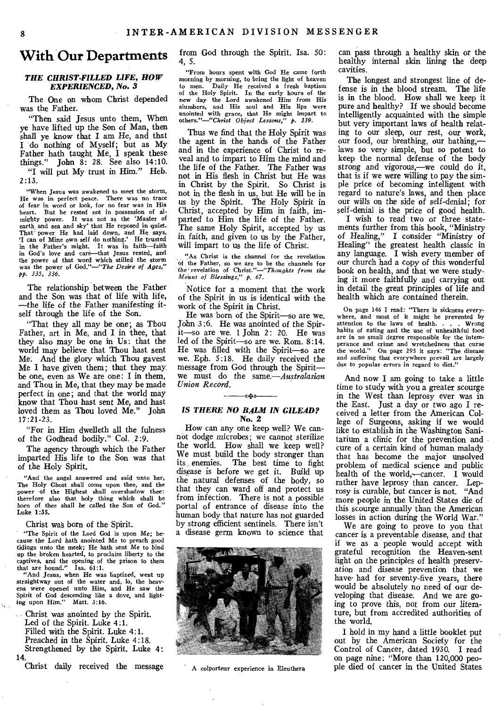# **With Our Departments**

# *THE CHRIST-FILLED LIFE, HOW EXPERIENCED, No. 3*

The One on whom Christ depended was the Father.

"Then said Jesus unto them, When ye have lifted up the Son of Man, then shall ye know that I am He, and that I do nothing of Myself; but as My Father hath taught Me, I speak these things." John 8: 28. See also 14:10. "I will put My trust in Him." Heb.

 $2:13.$ 

"When Jesus was awakened to meet the storm, He was in perfect peace. There was no trace of fear in word or look, for no fear was in His heart. But he rested not in possession of almighty power. It was not as the 'Master of earth and sea and sky' that He reposed in quiet.<br>That' power He had laid down, and He says, `I can of Mine own self do nothing.' He trusted in the Father's might. It was in faith—faith in God's love and care—that Jesus rested, and the power of that word which stilled the storm was the power of God."—"The *Desire of Ages," pp. 335, 336.* 

The relationship between the Father and the Son was that of life with life, —the life of the Father manifesting itself through the life of the Son.

"That they all may be one; as Thou Father, art in Me, and I in thee, that they also may be one in Us: that the world may believe that Thou hast sent Me: And the glory which Thou gayest Me **I** have given them; that they may be one, even as We are one: **I** in them, and Thou in Me, that they may be made perfect in one; and that the world may know that Thou hast sent Me, and hast loved them as Thou loved Me." John 17:21-23.

"For in Him dwelleth all the fulness of the Godhead bodily." Col. *2:9.* 

The agency through which the Father imparted His life to the Son was that of the Holy Spirit.

"And the angel answered and said unto her, The Holy Ghost shall come upon thee, and the power of the Highest shall overshadow thee: therefore also that holy thing which shall be born of thee *shall be* called the Son of God." Luke 1:35.

Christ waS born of the Spirit.

"The Spirit of the Lord God is upon Me; because the Lord hath anointed Me to preach good tidings unto the meek; He hath sent Me to bind up the broken hearted, to proclaim liberty to the captives, and the opening of the prison to them that are bound." Isa. 61:1. "And Jesus, when He was baptized, went up

straightway out of the water and, lo, the heav-ens were opened unto Him, and He saw the Spirit of God descending like a dove, and light-ing upon Him." Matt. 3:16.

Christ was anointed by the Spirit. Led of the Spirit. Luke 4:1. Filled with the Spirit. Luke 4:1. Preached in the Spirit. Luke 4:18. Strengthened by the Spirit. Luke 4: 14.

Christ daily received the message

from God through the Spirit. Isa. 50: 4, 5.

"From hours spent with God He came forth morning by morning, to bring the light of heaven to men. Daily He received a fresh baptism<br>of the Holy Spirit. In the early hours of the<br>new day the Lord awakened Him from His<br>slumbers, and His soul and His lips were<br>anointed with grace, that He might impart to<br>others."

Thus we find that the Holy Spirit was the agent in the hands of the Father and in the experience of. Christ to reveal and to impart to Him the mind and the life of the Father. The Father was not in His flesh in Christ but He was in Christ by the Spirit. So Christ is not in the flesh in us, but He will be in *us* by the Spirit. The Holy Spirit in Christ, accepted by Him in faith, imparted to Him the life of the Father. The same Holy Spirit, accepted by us in, faith, and given to us by the Father, will impart to us the life of Christ.

"As Christ is the channel for the revelation of the Father, so we are to be the channels for the' revelation of *Christ."—"Thoughts from the Mount of Blessings," p. 67.* 

Notice for a moment that the work of the Spirit in us is identical with the work of the Spirit in Christ.

He was born of the Spirit—so are we. John 3 :6. He was anointed of the Spirit—so are we. 1 John 2: 20. He was led of the Spirit—so are we. Rom. 8:14. He was filled with the Spirit—so are we. Eph. 5:18. He daily received the message from God through the Spirit we must do the *same.—Australasian Union Record.* 

# *«44» IS THERE NO BALM IN GILEAD?*  **No. 2**

How can any one keep well? We cannot dodge *microbes;* we cannot sterilize the world. How shall we keep well? We must build the body stronger than its enemies. The best time to fight disease is before we get it. Build up the natural defenses of the body, so that they can ward off and protect us from infection. There is not a possible portal of entrance of disease into the human body that nature has not guarded by strong efficient sentinels. There isn't a disease germ known to science that



A colporteur experience in Eleuthera

can pass through a healthy skin or the healthy internal skin lining the deep cavities.

The longest and strongest line of defense is in the blood stream. The life is in the blood. How shall we keep it pure and healthy? If we should become intelligently acquainted with the simple but very important laws of health relating to our sleep, our rest, our work, our food, our breathing, our bathing, laws so very simple, but so potent to keep the normal defense of the body strong and vigorous,—we could do it, that is if we were willing to pay the simple price of becoming intelligent with regard to nature's laws, and then place our wills on the side of self-denial; for self-denial is the price of good health.

**I** wish to read two or three statements further from this book, "Ministry of Healing," I consider "Ministry of Healing" the greatest health classic in any language. **I** wish every member of our church had a copy of this wonderful book on health, and that we were studying it more faithfully and carrying out in detail the great principles of life and health which are contained therein.

On page 146 I read: "There is sickness everywhere, and most of it might be prevented by attention to the laws of health. . . . Wrong habits of eating and the use of unhealthful food are in no small degree responsible for the intemperance and crime and wretchedness that curse the world." On page 295 it says: "The disease and suffering that everywhere prevail are largely due to popular errors in regard to diet."

And now **I** am going to take a little time to study with you a greater scourge in the West than leprosy ever was in the East. Just a day or two ago I received a letter from the American College of Surgeons, asking if we would like to establish in the Washington Sanitarium a clinic for the prevention and cure of a certain kind of human malady that has become the major unsolved problem of medical science and public health of the world,-cancer. I would rather have leprosy than cancer. Leprosy is curable, but cancer is not. "And more people in the United States die of this scourge annually than the American losses in action during the World War."

We are going to prove to you that cancer is a preventable disease, and that if we as a people would accept with grateful recognition the Heaven-sent light on the principles of health preservation and disease prevention that we have had for seventy-five years, there would be absolutely no need of our developing that disease. And we are going to prove this, not from our literature, but from accredited authorities of the world.

I hold in my hand a little booklet put out by the American Society for the Control of Cancer, dated 1930. I read on page nine: "More than 120,000 people died of cancer in the United States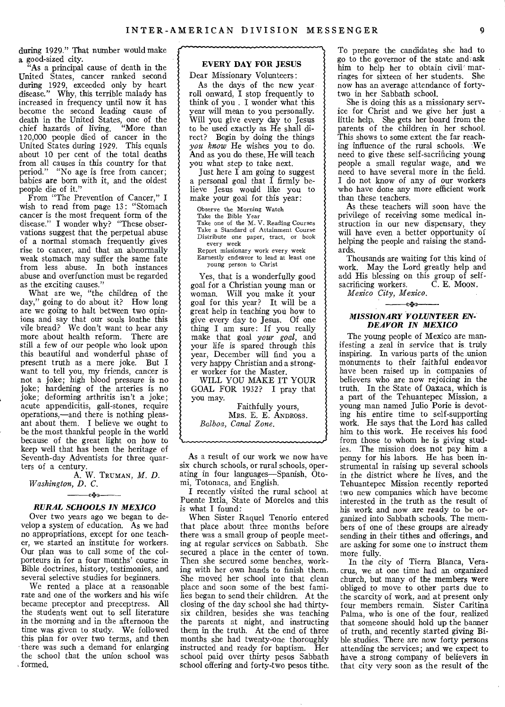during 1929." That number would make a good-sized city.

"As a principal cause of death in the United States, cancer ranked second during 1929, exceeded only by heart disease." Why, this terrible malady has increased in frequency until now it has become the second leading cause of death in the United States, one of the chief hazards of living. "More than chief hazards of living. "More than 120,000 people died of cancer in the United States during 1929. This equals about 10 per cent of the total deaths from all causes in this country for that period." "No age is free from cancer; babies are born with it, and the oldest people die of it."

From "The Prevention of Cancer," I wish to read from page 13: "Stomach cancer is the most frequent form of the disease." I wonder why? "These observations suggest that the perpetual abuse of a normal stomach frequently gives rise to cancer, and that an abnormally weak stomach may suffer the same fate from less abuse. In both instances abuse and overfunction must be regarded as the exciting causes."

What are we, "the children of the day," going to do about it? How long are we going to halt between two opinions and say that our souls loathe this vile bread? We don't want to hear any more about health reform. There are still a few of our people who look upon this beautiful and wonderful phase of present truth as a mere joke. But I want to tell you, my friends, cancer is not a joke; high blood pressure is no joke; hardening of the arteries is no joke; deforming arthritis isn't a joke; acute appendicitis, gall-stones, require operations,—and there is nothing pleasant about them. I believe we ought to be the most thankful people in the world because of the great light on how to keep well that has been the heritage of Seventh-day Adventists for three quarters of a century.

A. W. TRUMAN, *M. D. Washington, D. C.* 

# *«4..» RURAL SCHOOLS IN MEXICO*

Over two years ago we began to develop a system of education. As we had no appropriations, except for one teacher, we started an institute for workers. Our plan was to call some of the colporteurs in for a four months' course in Bible doctrines, history, testimonies, and several selective studies for beginners.

We rented a place at a reasonable rate and one of the workers and his wife became preceptor and preceptress. All the students went out to sell literature in the morning and in the afternoon the time was given to study. We followed this plan for over two terms, and then • there was such a demand for enlarging the school that the union school was formed.

# EVERY DAY FOR JESUS

Dear Missionary Volunteers: As the days of the new year roll onward, I stop frequently to think of you . I wonder what this year will mean to you personally. Will you give every day to Jesus to be used exactly as He shall direct? Begin by doing the things *you know* He wishes you to do. And as you do these, He will teach you what step to take next.

Just here I am going to suggest a personal goal that I firmly believe Jesus would like you to make your goal for this year:

Observe the Morning Watch<br>Take the Bible Year<br>Take one of the M. V. Reading Courses<br>Take a Standard of Attainment Course Distribute one paper, tract, or book every week Report missionary work every week

Earnestly endeavor to lead at least one young person to Christ

Yes, that is a wonderfully good goal for a Christian young man or woman. Will you make it your goal for this year? It will be a great help in teaching you how to give every day to Jesus. Of one thing I am sure: If you really make that goal *your goal,* and your life is spared through this year, December will find you a very happy Christian and a stronger worker for the Master.

WILL YOU MAKE IT YOUR GOAL FOR 1932? I pray that you may.

Faithfully yours, MRS. E. E. ANDROSS. *Balboa, Canal Zone.* 

As a result of our work we now have six church schools, or rural schools, operating in four languages—Spanish, Otomi, Totonaca, and English.

I recently visited the rural school at Puente Ixtla, State of Morelos and this is what I found:

When Sister Raquel Tenorio entered that place about three months before there was a small group of people meeting at regular services on Sabbath. She secured a place in the center of town. Then she secured some benches, working with her own hands to finish them. She moved her school into that clean place and soon some of the best families began to send their children. At the closing of the day school she had thirtysix children, besides she was teaching the parents at night, and instructing them in the truth. At the end of three months she had twenty-one thoroughly instructed and ready for baptism. Her school paid over thirty pesos Sabbath school offering and forty-two pesos tithe.

To prepare the candidates she had to go to the governor of the state and ask him to help her to obtain civil marriages for sixteen of her students. She now has an average attendance of fortytwo in her Sabbath school.

She is doing this as a missionary service for Christ and we give her just a little help. She gets her board from the parents of the children in her school. This shows to some extent the far reaching influence of the rural schools. We need to give these self-sacrificing young people a small regular wage, and we need to have several more in the field. I do not know of any of our workers who have done any more efficient work than these teachers.

As these teachers will soon have the privilege of receiving some medical instruction in our new dispensary, they will have even a better opportunity of helping the people and raising the standards.

Thousands are waiting for this kind of work. May the Lord greatly help and add His blessing on this group of self-<br>sacrificing workers. C. E. Moon. sacrificing workers.

*Mexico City, Mexico.* 

# *«+>.) MISSIONARY VOLUNTEER EN-DEAVOR IN MEXICO*

The young people of Mexico are manifesting a zeal in *service* that is truly inspiring. In various parts of the union monuments to their faithful endeavor have been raised up in companies of believers who are now rejoicing in the truth. In the State of Oaxaca, which is a part of the Tehuantepec Mission, a young man named Julio Porie is devoting his entire time to self-supporting work. He says that the Lord has called him to this work. He receives his food from those to whom he is giving studies. The mission does not pay him a penny for his labors. He has been instrumental in raising up several schools in the district where he lives, and the Tehuantepec Mission recently reported two new companies which have become interested in the truth as the result of his work and now are ready to be organized into Sabbath schools. The members of one of these groups are already sending in their tithes and offerings, and are asking for some one to instruct them more fully.

In the city of Tierra Blanca, Veracruz, we at one time had an organized church, but many of the members were obliged to move to other parts due to the scarcity of work, and at present only four members remain. Sister Caritina Palma, who is one of the four, realized that someone should hold up the banner of truth, and recently started giving Bible studies. There are now forty persons attending the services; and we expect to have a strong company of believers in that city very soon as the result of the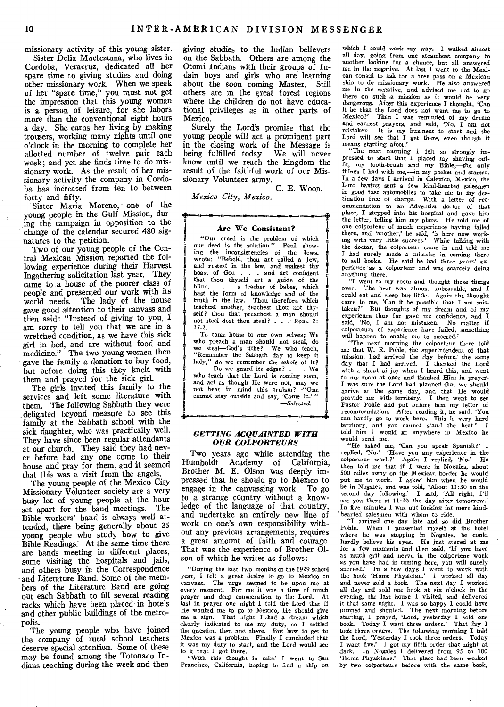missionary activity of this young sister.

Sister Delia Moctezuma, who lives in Cordoba, Veracruz, dedicated all her spare time to giving studies and doing other missionary work. When we speak of her "spare time," you must not get the impression that this young woman is **a** person of leisure, for she labors more than the conventional eight hours a day. She earns her living by making trousers, working many nights until one o'clock in the morning to complete her allotted number of twelve pair each week; and yet she finds time to do missionary work. As the result of her missionary activity the company in Cordoba has increased from ten to between forty and fifty.

Sister Maria Moreno, one of the young people in the Gulf Mission, during the campaign in opposition to the change of the calendar secured 480 signatures to the petition.

Two of our young people of the Central Mexican Mission reported the following experience during their Harvest Ingathering solicitation last year. They came to .a house of the poorer class of people and presented our work with its world needs. The lady of the house gave good attention to their canvass and then said: "Instead of giving to you, I am sorry to tell you that we are in a wretched condition, as we have this sick girl in bed, and are without food and medicine." The two young women then gave the family a donation to buy food, but before doing this they knelt with them and prayed for the sick girl.

The girls invited this family to the services and left some literature with them. The following Sabbath they were delighted beyond measure to see this family at the Sabbath school with the sick daughter, who was practically well. They have since been regular attendants at our church. They said they had never before had any one come to their house and pray for them, and it seemed that this was a visit from the angels.

The young people of the Mexico City Missionary Volunteer society are a very busy lot of young people at the hour set apart for the band meetings. The Bible workers' band is always well attended, there being generally about 25 young people who study how to give Bible Readings. At the same time there are bands meeting in different places, some visiting the hospitals and jails, and others busy in the Correspondence and Literature Band. Some of the members of the Literature Band are going out each Sabbath to fill several reading racks which have been placed in hotels and other public buildings of the metropolis.

The young people who have joined the company of rural school teachers deserve special attention. Some of these may be found among the Totonaco Indians teaching during the week and then

giving studies to the Indian believers on the Sabbath. Others are among the Otomi Indians with their groups of Indamn boys and girls who are learning about the soon coming Master. Still others are in the great forest regions where the children do not have educational privileges as in other parts of Mexico.

Surely the Lord's promise that the young people will act a prominent part in the closing work of the Message is being fulfilled today. We will never know until we reach the kingdom the result of the faithful work of our Missionary Volunteer army.

**C. E.** WOOD.

*Mexico City, Mexico.* 

#### Are We Consistent?

"Our creed is the problem of which our deed is the solution." Paul, show-ing the inconsistencies of the Jews, wrote: "Behold, thou art called a Jew, and restest in the law, and makest thy boast of God . . . and art confident<br>that thou thyself art a guide of the<br>blind, . . . a teacher of babes, which<br>hast the form of knowledge and of the<br>truth in the law. Thou therefore which<br>teachest another, teachest thou self? thou that preachest a man should not steal dost thou steal? . . . Rom. 2: 17-21.

To come home to our own selves; We who preach a man should not steal, do we steal—God's tithe? We who teach, "Remember the Sabbath day to keep it holy," do we remember the *whole* of it?  $\ldots$  Do we guard its edges? . . . We who teach that the Lord is coming soon, and act as though He were not, may we not bear in mind this truism?—"One cannot stay outside and say, 'Come in.' ' *—Selected.* 

*GETTING ACQUAINTED WITH OUR COLPORTEURS* 

Two years ago while attending the Humboldt Academy of California, Brother M. E. Olson was deeply impressed that he should go to Mexico to engage in the canvassing work. To go to a strange country without a knowledge of the language of that country, and undertake an entirely new line of work on one's own responsibility without any previous arrangements, requires a great amount of faith and courage. That was the experience of Brother Olson of which he writes as follows:

"During the last two months of the 1929 school year, I felt a great desire to go to Mexico to canvass. The urge seemed to be upon me at every moment. For me it was a time of much prayer and deep consecration to the Lord. At last in prayer one night I told the Lord that if He wanted me to go to Mexico, He should give me a sign. That night I .had a dream which clearly indicated to me my duty, so I settled the question then and there. But how to get to Mexico was a problem. Finally I concluded that it was my duty to start, and the Lord would see to it that I got there.

"With this thought in mind I went to San Francisco, California, hoping to find a ship on

which I could work my way. I walked almost all day, going from one steamboat company to another looking for a chance, but all answered me in the negative. At last I went to the Mexican consul to ask for a free pass on a Mexican ship to do missionary work. He also answered me in the negative, and advised me not to go there on such a mission as it would be very dangerous. After this experience I thought, 'Can it be that the Lord does not want me to go to Mexico?' Then I was reminded of my dream Then I was reminded of my dream and earnest prayers, and said, 'No, I am not staken. It is my business to start and the Lord will see that I get there, even though it means starting afoot.'

"The next morning I felt so strongly im-pressed to start that I placed my shaving outfit, my tooth-brush and my Bible,—the only things I had with me,—in my pocket and started. In a few days I arrived in Calexico, Mexico, the Lord having sent a few kind-hearted salesmen in good fast automobiles to take me to my des-tination free of charge. With a letter of recommendation to an Adventist doctor of that place, I stepped into his hospital and gave him the letter, telling him my plans. He told me of one colporteur of much experience having failed there, and 'another,' he said, 'is here now work-<br>ing with very little success.' While talking with the doctor, the colporteur came in and told me I had surely made a mistake in coming there to sell books. He said he had three years' experience 'as a colporteur and was scarcely doing anything there.

"I went to my room and thought these things over. The heat was almost unbearable, and I could eat and sleep but little. Again the thought came to me, 'Can it be possible that I am mistaken?' But thoughts of my dream and of my experience thus far gave me confidence, and I said, `No, I am not mistaken. No matter if colporteurs of experience have failed, something will happen to enable me to succeed.'

"The next morning the colporteur there told me that W. R. Pohle, the superintendent of that mission, had arrived the day before, the same day that I had arrived. I thanked the Lord day that I had arrived. I thanked the Lord with a shout of joy when I heard this, and went to my room at once and thanked Him in prayer. I was sure the Lord had planned that we should arrive at the same day, and that He would provide *me* with territory. I then went to see Pastor Pohle and put before him my letter of recommendation. After reading it, he said, 'You can hardly go to work here. This is very hard territory, and you cannot stand the heat.' I told him I would go anywhere in Mexico he would send me.

"He asked me, 'Can you speak Spanish?' I replied,-`No.' Have you any experience in the colporteur work ?' Again I replied, 'No.' He then told me that if I were in Nogales, about 500 miles away on the Mexican border he would put me to work. I asked him when he would be in Nogales, and was told, 'About 11:30 on the second day following.' I said, 'All right, I'll second day following.' I said, 'All right, I'll<br>see you there at 11:30 the day after tomorrow.' In five minutes I was out looking for more kind hearted salesmen with whom to ride.

"I arrived one day late and so did Brother Pohle. When I presented myself at the hotel where he was stopping in Nogales, he could hardly believe his eyes. He just stared at me<br>for a few moments and then said, `If you have as much grit and nerve in the colporteur work as you have had in coming here, you will surely succeed.' In a few days I went to work with the book 'Home Physician.' I worked all day and never sold a book. The next day I worked all day and sold one book at six o'clock in the evening, the last house I visited, and delivered it that same night. I was so happy I could have jumped and shouted. The next morning before<br>starting, I prayed, 'Lord, yesterday I sold one<br>book. Today I want three orders.' That day I<br>took. three orders. The following morning I told<br>the Lord, 'Yesterday I took three or I want five.' I got my fifth order that night at dark. In Nogales I delivered from 95 to 100 'Home Physicians.' That place had been worked by two colporteurs before with the same book,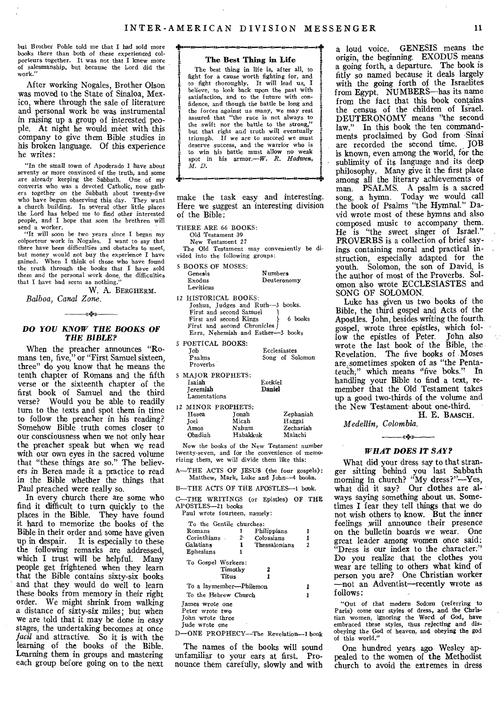but Brother Pohle told me that I had sold more books there than both of these experienced colporteurs together. It was not that I knew more of salesmanship, but because the Lord did the work."

After working Nogales, Brother Olson was moved to the State of Sinaloa, Mexico, where through the sale of literature and personal work he was instrumental in raising up a group of interested people. At night he would meet with this company to give them Bible studies in his broken language. Of this experience he writes:

"In the small town of Apoderado I have about seventy or more convinced of the truth, and some are already keeping the Sabbath. One of my converts who was a devoted Catholic, now gathers together on the Sabbath about twenty-five who have begun observing this day. They want a church building. In several other little places the Lord has helped me to find other interested people, and I hope that soon the brethren will

send a worker. "It will soon be two years since I began my colporteur work in Nogales. I want to say that there have been difficulties and obstacles tomeet, but money would not buy the experience I have gained. When I think of those who have found the truth through the books that I have sold them and the personal work done, the difficulties that I have had seem as nothing.

W. A. BERGHERM.

# *Balboa, Canal Zone.*

#### *DO YOU KNOW THE BOOKS OF THE BIBLE?*

——«**\***\*»——

When the preacher announces "Romans ten, five," or "First Samuel sixteen, three" do you know that he means the tenth chapter of Romans and the fifth verse or the sixteenth chapter of the first book of Samuel and the third verse? Would you be able to readily turn to the texts and spot them in time to follow the preacher in his reading? Somehow Bible truth comes closer to our consciousness when we not only hear the preacher speak but when we read with our own eyes in the sacred volume that "these things are so." The believers in Berea made it a practice to read in the Bible whether the things that Paul preached were really so.

In every church there are some who find it difficult to turn quickly to the places in the Bible. They have found it hard to memorize the books of the Bible in their order and some have given up in despair. It is especially to these the following remarks are addressed, which I trust will be helpful. Many people get frightened when they learn that the Bible contains sixty-six books and that they would do well to learn these books from memory in their right order. We might shrink from walking a distance of sixty-six miles; but when we are told that it may be done in easy stages, the undertaking becomes at once *facil* and attractive. So it is with the learning of the books of the Bible. Learning them in groups and mastering each group before going on to the next

#### **The Best Thing in Life**

The best thing in life is, after all, to fight for a cause worth fighting for, and<br>to fight thoroughly. It will lead us, I believe, to look back upon the past with satisfaction, and to the future with confidence, and though the battle be long and the forces against us many, we may rest assured that "the race is not always to the swift nor the battle to the strong, but that right and truth will eventually triumph. If we are to succeed we must deserve success, and the warrior who is to win his battle must allow no weak spot in his armor.—W. *R. Hadwen, M. D.* 

make the task easy and interesting. Here we suggest an interesting division of the Bible:

THERE ARE 66 BOOKS:

Old Testament 39

New Testament *27* 

 $5 - 5$  Books of Moses:

The Old Testament may conveniently be divided into the following groups:

| 5 BOOKS OF MOSES:<br>Genesis<br>Exodus<br>Leviticus | Numbers<br>Deuteronomy | vouth. Solomon, the so<br>the author of most of the<br>omon also wrote ECCLI |
|-----------------------------------------------------|------------------------|------------------------------------------------------------------------------|
| 12 HISTORICAL BOOKS:                                |                        | SONG OF SOLOMON.<br>I also has wiren up tw                                   |

| 12 RISIONICAL BOOKS.              |         |
|-----------------------------------|---------|
| Joshua, Judges and Ruth-3 books.  |         |
| First and second Samuel           |         |
| First and second Kings            | 6 books |
| First and second Chronicles       |         |
| Ezra, Nehemiah and Esther-3 books |         |

*5* POETICAL BOOKS: Job Ecclesiastes Psalms Songof Solomon

| т запиз<br>Proverbs | <b>COUR OF SOLO</b> |  |
|---------------------|---------------------|--|
| 5 MAJOR PROPHETS:   |                     |  |
| Isaiah              | Ezekiel             |  |
| Teremiah            | Daniel              |  |
| Lamentations        |                     |  |

|         | 12 MINOR PROPHETS: |           |
|---------|--------------------|-----------|
| Hosea   | Tonah              | Zephaniah |
| Toel    | Micah              | Haggai    |
| Amos    | Nahum              | Zechariah |
| Obadiah | Habakkuk           | Malachi   |

Now the books of the New Testament number twenty-seven, and for the convenience of memorizing them, we will divide them like this:

A—THE ACTS OF JESUS (the four gospels): Matthew, Mark, Luke and John-4 books.

B—THE ACTS OF THE APOSTLES—i book.

C—THE WRITINGS (or Epistles) OF THE APOSTLES-21 books Paul wrote fourteen, namely:

|  | iui wrote rourteen, namely. |  |
|--|-----------------------------|--|
|  |                             |  |

| To the Gentile churches:                                                 |                |               |   |
|--------------------------------------------------------------------------|----------------|---------------|---|
| Romans                                                                   | 1              | Philippians   |   |
| Corinthians.                                                             | 2 <sup>2</sup> | Colossians    |   |
| Galatians                                                                | 1              | Thessalonians | 2 |
| Ephesians                                                                | 1              |               |   |
| To Gospel Workers:<br>Timothy<br>Titus                                   |                | 1             |   |
|                                                                          |                |               |   |
| To a laymember—Philemon                                                  |                |               |   |
| To the Hebrew Church                                                     |                |               |   |
| James wrote one<br>Peter wrote two<br>John wrote three<br>Jude wrote one |                |               |   |

D—ONE PROPHECY—The Revelation—I book

The names of the books will sound unfamiliar to your ears at first. Pronounce them carefully, slowly and with

a loud voice. GENESIS means the origin, the beginning. EXODUS means a going forth, a departure. The book is fitly so named because it deals largely with the going forth of the Israelites from Egypt. NUMBERS—has its name from the fact that this book contains the census of the children of Israel. DEUTERONOMY means "the second law." In this book the ten commandments proclaimed by God from Sinai are recorded the second time. JOB is known, even among the world, for the sublimity of its language and its deep philosophy. Many give it the first place among all the literary achievements of man. PSALMS. A psalm is a sacred song, a hymn. Today we would call the book of Psalms "the Hymnal." David wrote most of these hymns and also composed music to accompany them. He is "the sweet singer of Israel." PROVERBS is a collection of brief sayings containing moral and practical instruction, especially adapted for the youth. Solomon, the son of David, is the author of most of the Proverbs. Solomon also wrote ECCLESIASTES and

Luke has given us two books of the Bible, the third gospel and Acts of the Apostles. John, besides writing the fourth gospel, wrote three epistles, which follow the epistles of Peter. John also wrote the last book of the Bible, the Revelation. The five books of Moses are .sometimes spoken of as "the Pentateuch;" which means "five boks." In handling your Bible to find a text, remember that the Old Testament takes up a good two-thirds of the volume and the New Testament about one-third. H. E. BAASCH.

*Medellin, Colombia.* 

# +>>

#### *WHAT DOES IT SAY?*

What did your dress say to that stranger sitting behind you last Sabbath morning in church? "My dress?"—Yes, what did it say? Our clothes are always saying something about us. Sometimes I fear they tell things that we do not wish others to know. But the inner feelings ,will announce their presence on the bulletin boards we wear. One great leader among women once said: "Dress is our index to the character." Do you realize that the clothes you wear are telling to others what kind of person you are? One Christian worker —not an Adventist—recently wrote as follows:

"Out of that modern Sodom (referring to Paris) come our styles of dress, and the Chris-tian women, ignoring the Word of God, have embraced these styles, thus rejecting and dis-obeying the God of heaven, and obeying the god of this world."

One hundred years ago Wesley appealed to the women of the Methodist church to avoid the extremes in dress'